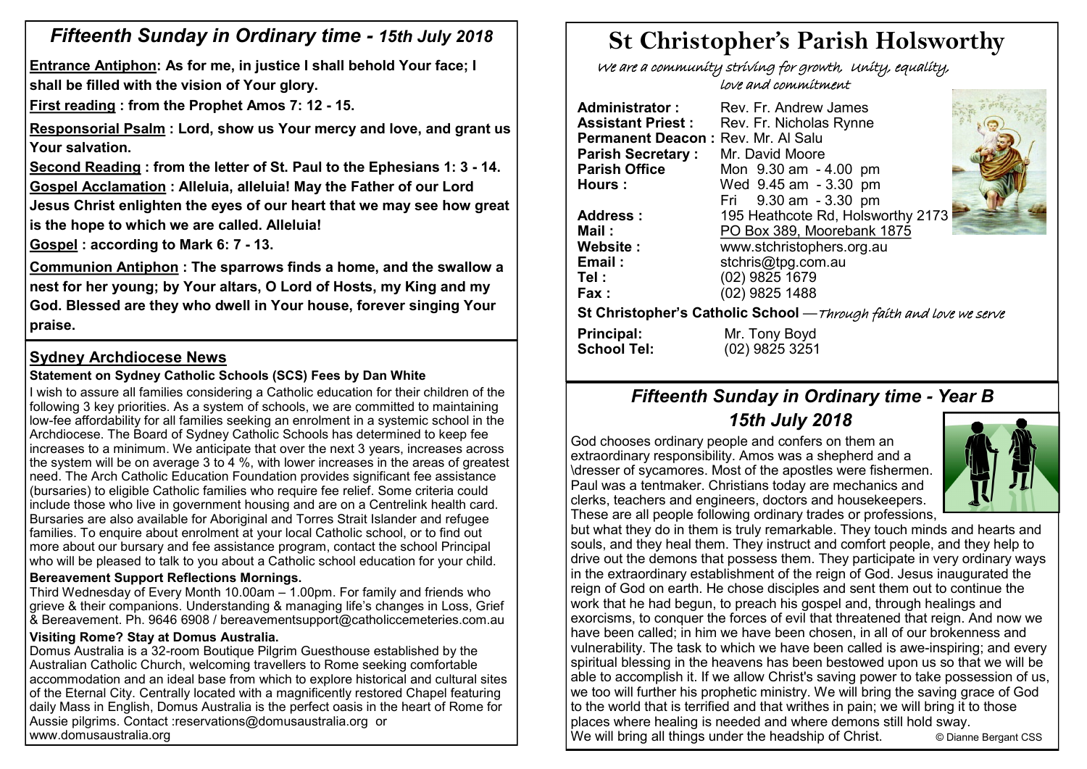# *Fifteenth Sunday in Ordinary time - 15th July 2018*

**Entrance Antiphon: As for me, in justice I shall behold Your face; I shall be filled with the vision of Your glory.**

**First reading : from the Prophet Amos 7: 12 - 15.** 

**Responsorial Psalm : Lord, show us Your mercy and love, and grant us Your salvation.**

**Second Reading : from the letter of St. Paul to the Ephesians 1: 3 - 14. Gospel Acclamation : Alleluia, alleluia! May the Father of our Lord** 

**Jesus Christ enlighten the eyes of our heart that we may see how great is the hope to which we are called. Alleluia!**

**Gospel : according to Mark 6: 7 - 13.** 

**Communion Antiphon : The sparrows finds a home, and the swallow a nest for her young; by Your altars, O Lord of Hosts, my King and my God. Blessed are they who dwell in Your house, forever singing Your praise.**

# **Sydney Archdiocese News**

# **Statement on Sydney Catholic Schools (SCS) Fees by Dan White**

I wish to assure all families considering a Catholic education for their children of the following 3 key priorities. As a system of schools, we are committed to maintaining low-fee affordability for all families seeking an enrolment in a systemic school in the Archdiocese. The Board of Sydney Catholic Schools has determined to keep fee increases to a minimum. We anticipate that over the next 3 years, increases across the system will be on average 3 to 4 %, with lower increases in the areas of greatest need. The Arch Catholic Education Foundation provides significant fee assistance (bursaries) to eligible Catholic families who require fee relief. Some criteria could include those who live in government housing and are on a Centrelink health card. Bursaries are also available for Aboriginal and Torres Strait Islander and refugee families. To enquire about enrolment at your local Catholic school, or to find out more about our bursary and fee assistance program, contact the school Principal who will be pleased to talk to you about a Catholic school education for your child.

### **Bereavement Support Reflections Mornings.**

Third Wednesday of Every Month 10.00am – 1.00pm. For family and friends who grieve & their companions. Understanding & managing life's changes in Loss, Grief & Bereavement. Ph. 9646 6908 / bereavementsupport@catholiccemeteries.com.au

### **Visiting Rome? Stay at Domus Australia.**

Domus Australia is a 32-room Boutique Pilgrim Guesthouse established by the Australian Catholic Church, welcoming travellers to Rome seeking comfortable accommodation and an ideal base from which to explore historical and cultural sites of the Eternal City. Centrally located with a magnificently restored Chapel featuring daily Mass in English, Domus Australia is the perfect oasis in the heart of Rome for Aussie pilgrims. Contact :reservations@domusaustralia.org or www.domusaustralia.org

# **St Christopher's Parish Holsworthy**

 We are a community striving for growth, Unity, equality, love and commitment

| Administrator :                                                    | Rev. Fr. Andrew James             |  |  |  |  |  |
|--------------------------------------------------------------------|-----------------------------------|--|--|--|--|--|
| <b>Assistant Priest :</b>                                          | Rev. Fr. Nicholas Rynne           |  |  |  |  |  |
| Permanent Deacon: Rev. Mr. Al Salu                                 |                                   |  |  |  |  |  |
| <b>Parish Secretary:</b>                                           | Mr. David Moore                   |  |  |  |  |  |
| <b>Parish Office</b>                                               | Mon 9.30 am - 4.00 pm             |  |  |  |  |  |
| <b>Hours:</b>                                                      | Wed 9.45 am - 3.30 pm             |  |  |  |  |  |
|                                                                    | Fri 9.30 am - 3.30 pm             |  |  |  |  |  |
| <b>Address :</b>                                                   | 195 Heathcote Rd, Holsworthy 2173 |  |  |  |  |  |
| Mail :                                                             | PO Box 389, Moorebank 1875        |  |  |  |  |  |
| <b>Website :</b>                                                   | www.stchristophers.org.au         |  |  |  |  |  |
| Email:                                                             | stchris@tpg.com.au                |  |  |  |  |  |
| Tel :                                                              | (02) 9825 1679                    |  |  |  |  |  |
| <b>Fax :</b>                                                       | (02) 9825 1488                    |  |  |  |  |  |
| St Christopher's Catholic School — Through faith and love we serve |                                   |  |  |  |  |  |
| Principal:                                                         | Mr. Tony Boyd                     |  |  |  |  |  |
| <b>School Tel:</b>                                                 | (02) 9825 3251                    |  |  |  |  |  |

# *Fifteenth Sunday in Ordinary time - Year B 15th July 2018*

God chooses ordinary people and confers on them an extraordinary responsibility. Amos was a shepherd and a \dresser of sycamores. Most of the apostles were fishermen. Paul was a tentmaker. Christians today are mechanics and clerks, teachers and engineers, doctors and housekeepers. These are all people following ordinary trades or professions,



but what they do in them is truly remarkable. They touch minds and hearts and souls, and they heal them. They instruct and comfort people, and they help to drive out the demons that possess them. They participate in very ordinary ways in the extraordinary establishment of the reign of God. Jesus inaugurated the reign of God on earth. He chose disciples and sent them out to continue the work that he had begun, to preach his gospel and, through healings and exorcisms, to conquer the forces of evil that threatened that reign. And now we have been called; in him we have been chosen, in all of our brokenness and vulnerability. The task to which we have been called is awe-inspiring; and every spiritual blessing in the heavens has been bestowed upon us so that we will be able to accomplish it. If we allow Christ's saving power to take possession of us, we too will further his prophetic ministry. We will bring the saving grace of God to the world that is terrified and that writhes in pain; we will bring it to those places where healing is needed and where demons still hold sway. We will bring all things under the headship of Christ. © Dianne Bergant CSS